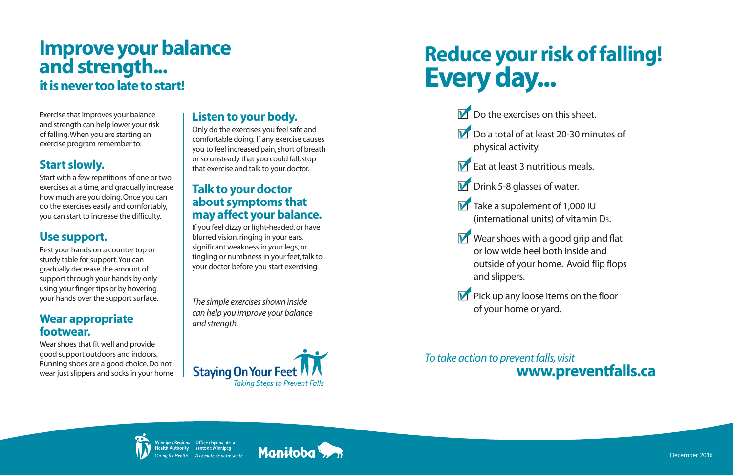# **Improve your balance and strength... it is never too late to start!**

Exercise that improves your balance and strength can help lower your risk of falling. When you are starting an exercise program remember to:

# **Start slowly.**

Start with a few repetitions of one or two exercises at a time, and gradually increase how much are you doing. Once you can do the exercises easily and comfortably, you can start to increase the difficulty.

# **Use support.**

Rest your hands on a counter top or sturdy table for support. You can gradually decrease the amount of support through your hands by only using your finger tips or by hovering your hands over the support surface.

## **Wear appropriate footwear.**

Wear shoes that fit well and provide good support outdoors and indoors. Running shoes are a good choice. Do not wear just slippers and socks in your home

## **Listen to your body.**

- Do a total of at least 20-30 minutes of physical activity.
- **D** Eat at least 3 nutritious meals.
- **Drink 5-8 glasses of water.**
- Take a supplement of 1,000 IU
- **If** Wear shoes with a good grip and flat and slippers.
- **DE** Pick up any loose items on the floor of your home or yard.

Only do the exercises you feel safe and comfortable doing. If any exercise causes you to feel increased pain, short of breath or so unsteady that you could fall, stop that exercise and talk to your doctor.

## **Talk to your doctor about symptoms that may affect your balance.**

If you feel dizzy or light-headed, or have blurred vision, ringing in your ears, significant weakness in your legs, or tingling or numbness in your feet, talk to your doctor before you start exercising.

*The simple exercises shown inside can help you improve your balance and strength.*

(international units) of vitamin D3.

or low wide heel both inside and outside of your home. Avoid flip flops

# **Reduce your risk of falling! Every day...**

 $\triangleright$  Do the exercises on this sheet.

*To take action to prevent falls, visit*





# **www.preventfalls.ca**



December 2016